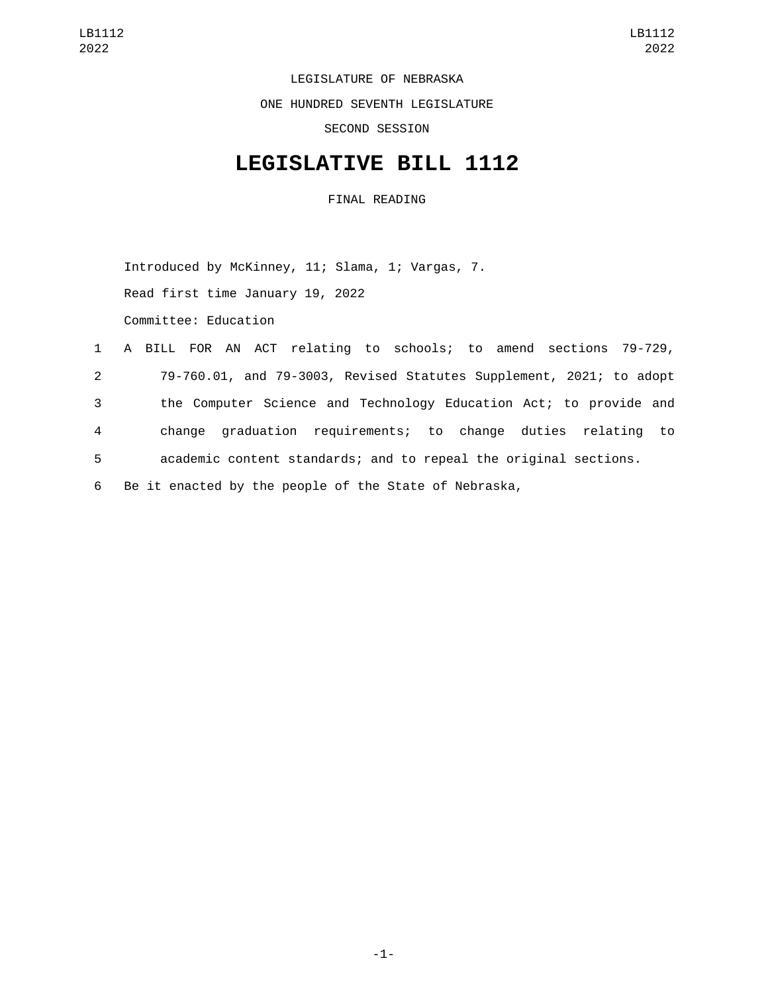LEGISLATURE OF NEBRASKA

ONE HUNDRED SEVENTH LEGISLATURE

SECOND SESSION

## **LEGISLATIVE BILL 1112**

FINAL READING

Introduced by McKinney, 11; Slama, 1; Vargas, 7.

Read first time January 19, 2022

Committee: Education

|                | 1 A BILL FOR AN ACT relating to schools; to amend sections 79-729,  |
|----------------|---------------------------------------------------------------------|
| $2^{\circ}$    | 79-760.01, and 79-3003, Revised Statutes Supplement, 2021; to adopt |
| 3              | the Computer Science and Technology Education Act; to provide and   |
| $\overline{4}$ | change graduation requirements; to change duties relating to        |
| 5 <sub>5</sub> | academic content standards; and to repeal the original sections.    |
| 6              | Be it enacted by the people of the State of Nebraska,               |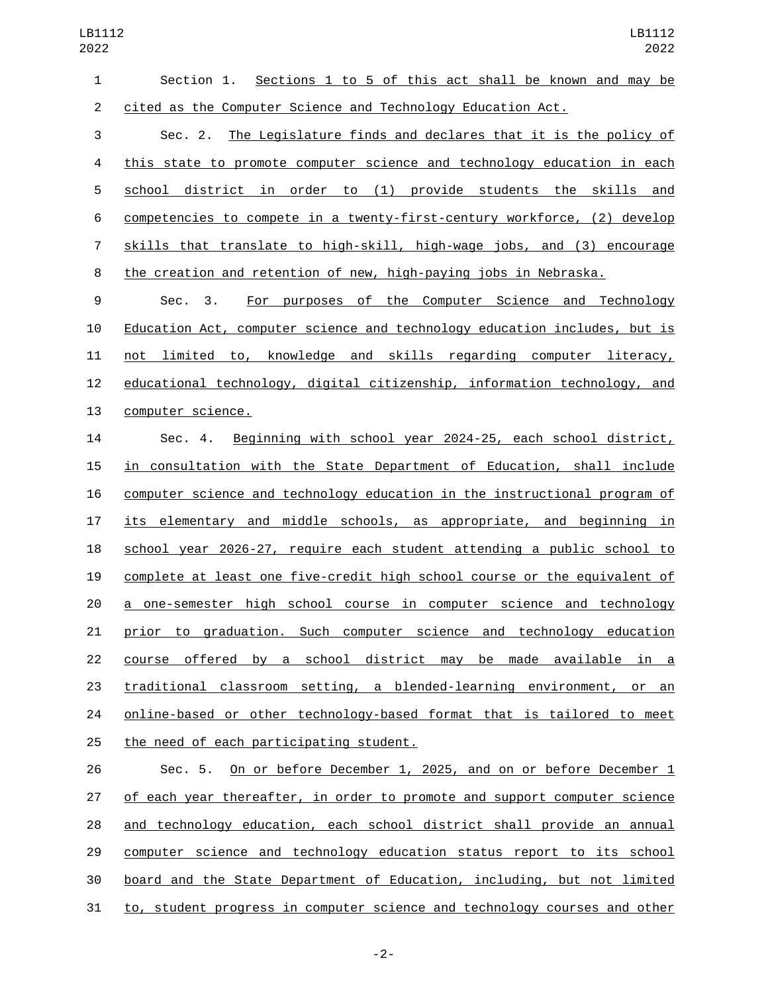| 1  | <u>Sections 1 to 5 of this act shall be known and may be</u><br>Section 1. |
|----|----------------------------------------------------------------------------|
| 2  | cited as the Computer Science and Technology Education Act.                |
| 3  | Sec. 2. The Legislature finds and declares that it is the policy of        |
| 4  | this state to promote computer science and technology education in each    |
| 5  | school district in order to (1) provide students the skills and            |
| 6  | competencies to compete in a twenty-first-century workforce, (2) develop   |
| 7  | skills that translate to high-skill, high-wage jobs, and (3) encourage     |
| 8  | the creation and retention of new, high-paying jobs in Nebraska.           |
| 9  | For purposes of the Computer Science and Technology<br>Sec. 3.             |
| 10 | Education Act, computer science and technology education includes, but is  |
| 11 | not limited to, knowledge and skills regarding computer literacy,          |
| 12 | educational technology, digital citizenship, information technology, and   |
| 13 | computer science.                                                          |
| 14 | Beginning with school year 2024-25, each school district,<br>Sec. 4.       |
| 15 | in consultation with the State Department of Education, shall include      |
| 16 | computer science and technology education in the instructional program of  |
| 17 | its elementary and middle schools, as appropriate, and beginning in        |
| 18 | school year 2026-27, require each student attending a public school to     |
| 19 | complete at least one five-credit high school course or the equivalent of  |
| 20 | a one-semester high school course in computer science and technology       |
| 21 | prior to graduation. Such computer science and technology education        |
| 22 | course offered by a school district may be made available in a             |
| 23 | traditional classroom setting, a blended-learning environment, or an       |
| 24 | online-based or other technology-based format that is tailored to meet     |
| 25 | the need of each participating student.                                    |
| 26 | Sec. 5. On or before December 1, 2025, and on or before December 1         |

27 of each year thereafter, in order to promote and support computer science and technology education, each school district shall provide an annual computer science and technology education status report to its school board and the State Department of Education, including, but not limited to, student progress in computer science and technology courses and other

-2-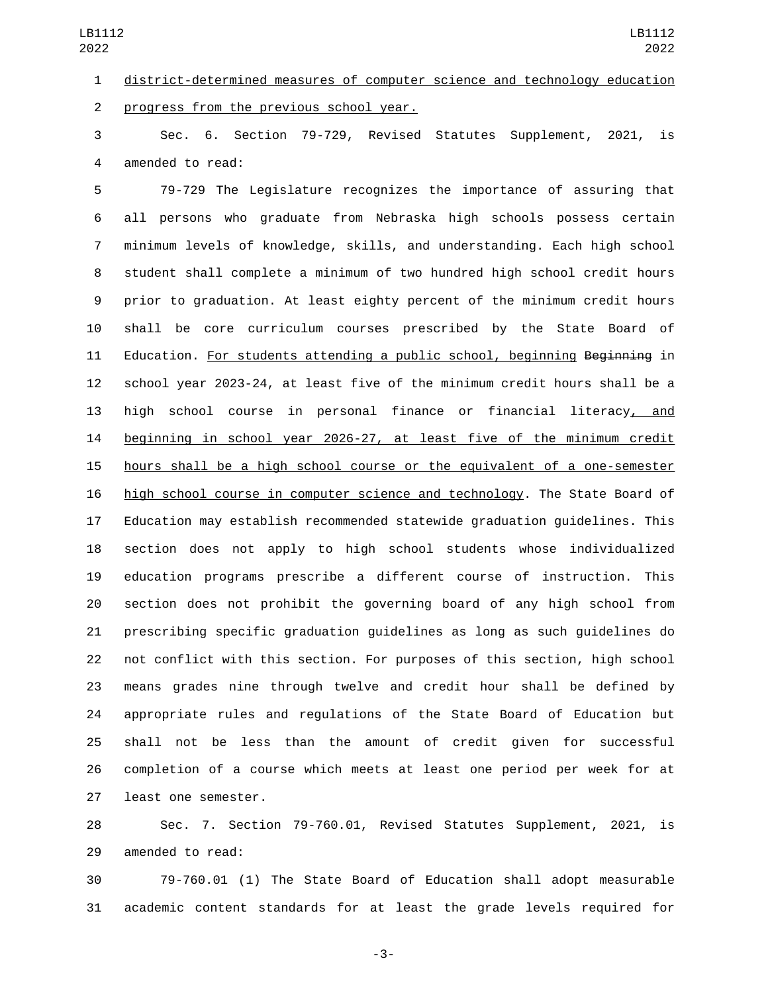district-determined measures of computer science and technology education progress from the previous school year.2

 Sec. 6. Section 79-729, Revised Statutes Supplement, 2021, is 4 amended to read:

 79-729 The Legislature recognizes the importance of assuring that all persons who graduate from Nebraska high schools possess certain minimum levels of knowledge, skills, and understanding. Each high school student shall complete a minimum of two hundred high school credit hours prior to graduation. At least eighty percent of the minimum credit hours shall be core curriculum courses prescribed by the State Board of 11 Education. For students attending a public school, beginning Beginning in school year 2023-24, at least five of the minimum credit hours shall be a high school course in personal finance or financial literacy, and beginning in school year 2026-27, at least five of the minimum credit hours shall be a high school course or the equivalent of a one-semester high school course in computer science and technology. The State Board of Education may establish recommended statewide graduation guidelines. This section does not apply to high school students whose individualized education programs prescribe a different course of instruction. This section does not prohibit the governing board of any high school from prescribing specific graduation guidelines as long as such guidelines do not conflict with this section. For purposes of this section, high school means grades nine through twelve and credit hour shall be defined by appropriate rules and regulations of the State Board of Education but shall not be less than the amount of credit given for successful completion of a course which meets at least one period per week for at 27 least one semester.

 Sec. 7. Section 79-760.01, Revised Statutes Supplement, 2021, is 29 amended to read:

 79-760.01 (1) The State Board of Education shall adopt measurable academic content standards for at least the grade levels required for

-3-